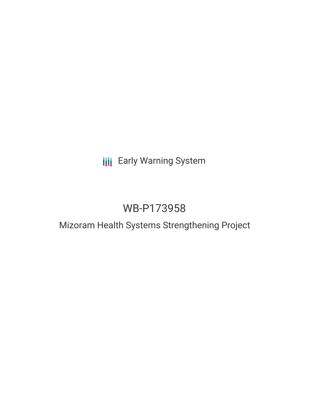## **III** Early Warning System

# WB-P173958

### Mizoram Health Systems Strengthening Project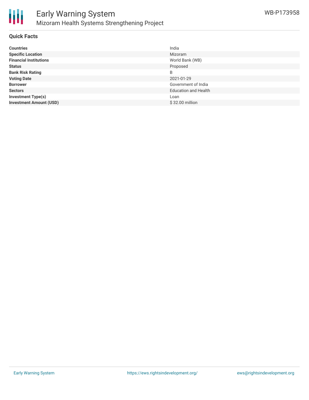

#### **Quick Facts**

| <b>Countries</b>               | India                       |
|--------------------------------|-----------------------------|
| <b>Specific Location</b>       | Mizoram                     |
| <b>Financial Institutions</b>  | World Bank (WB)             |
| <b>Status</b>                  | Proposed                    |
| <b>Bank Risk Rating</b>        | B                           |
| <b>Voting Date</b>             | 2021-01-29                  |
| <b>Borrower</b>                | Government of India         |
| <b>Sectors</b>                 | <b>Education and Health</b> |
| <b>Investment Type(s)</b>      | Loan                        |
| <b>Investment Amount (USD)</b> | \$32.00 million             |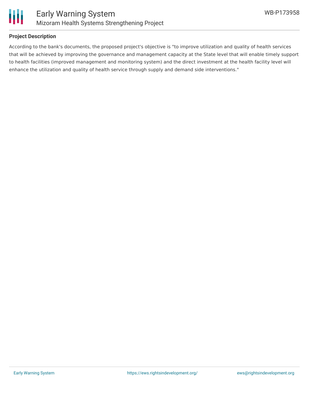

#### **Project Description**

According to the bank's documents, the proposed project's objective is "to improve utilization and quality of health services that will be achieved by improving the governance and management capacity at the State level that will enable timely support to health facilities (improved management and monitoring system) and the direct investment at the health facility level will enhance the utilization and quality of health service through supply and demand side interventions."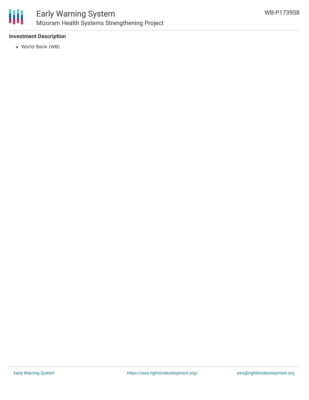

#### **Investment Description**

World Bank (WB)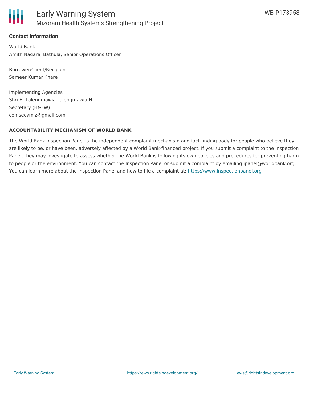

#### **Contact Information**

World Bank Amith Nagaraj Bathula, Senior Operations Officer

Borrower/Client/Recipient Sameer Kumar Khare

Implementing Agencies Shri H. Lalengmawia Lalengmawia H Secretary (H&FW) comsecymiz@gmail.com

#### **ACCOUNTABILITY MECHANISM OF WORLD BANK**

The World Bank Inspection Panel is the independent complaint mechanism and fact-finding body for people who believe they are likely to be, or have been, adversely affected by a World Bank-financed project. If you submit a complaint to the Inspection Panel, they may investigate to assess whether the World Bank is following its own policies and procedures for preventing harm to people or the environment. You can contact the Inspection Panel or submit a complaint by emailing ipanel@worldbank.org. You can learn more about the Inspection Panel and how to file a complaint at: <https://www.inspectionpanel.org>.